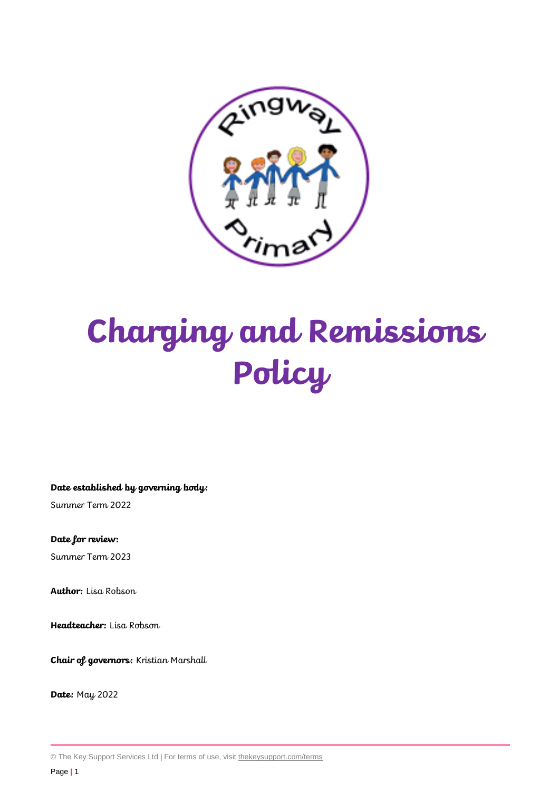

# **Charging and Remissions Policy**

**Date established by governing body:**

Summer Term 2022

**Date for review:** Summer Term 2023

**Author:** Lisa Robson

**Headteacher:** Lisa Robson

**Chair of governors:** Kristian Marshall

**Date:** May 2022

© The Key Support Services Ltd | For terms of use, visit [thekeysupport.com/terms](https://thekeysupport.com/terms-of-use)

Page **|** 1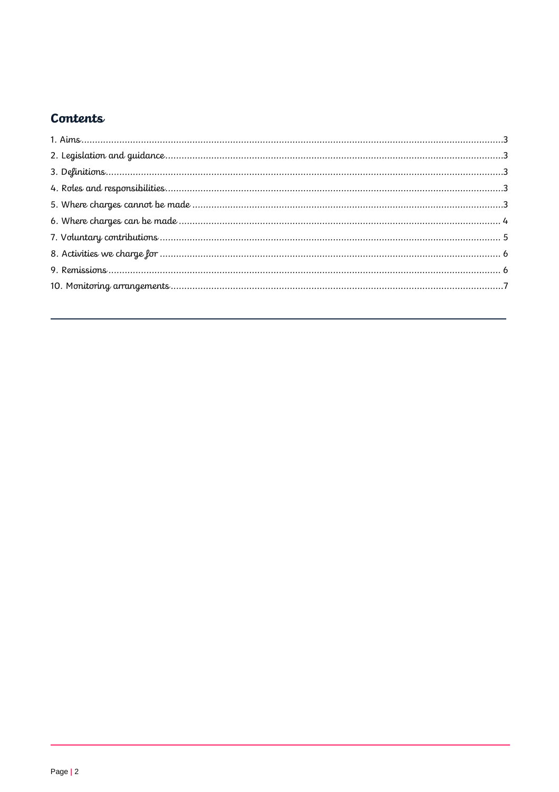## Contents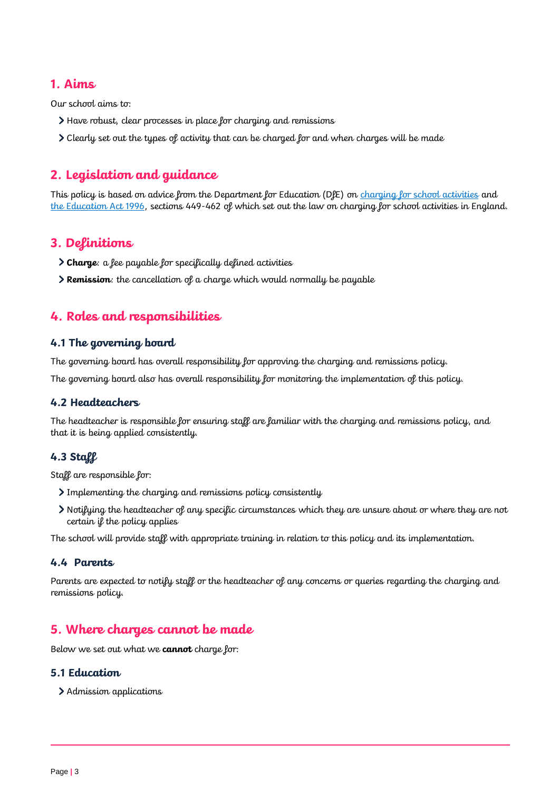## <span id="page-2-0"></span>**1. Aims**

Our school aims to:

- Have robust, clear processes in place for charging and remissions
- Clearly set out the types of activity that can be charged for and when charges will be made

## <span id="page-2-1"></span>**2. Legislation and guidance**

This policy is based on advice from the Department for Education (DfE) on [charging for school activities](https://www.gov.uk/government/publications/charging-for-school-activities) and [the Education Act 1996,](http://www.legislation.gov.uk/ukpga/1996/56/part/VI/chapter/III) sections 449-462 of which set out the law on charging for school activities in England.

## <span id="page-2-2"></span>**3. Definitions**

- **Charge**: a fee payable for specifically defined activities
- **Remission**: the cancellation of a charge which would normally be payable

## <span id="page-2-3"></span>**4. Roles and responsibilities**

#### **4.1 The governing board**

The governing board has overall responsibility for approving the charging and remissions policy.

The governing board also has overall responsibility for monitoring the implementation of this policy.

## **4.2 Headteachers**

The headteacher is responsible for ensuring staff are familiar with the charging and remissions policy, and that it is being applied consistently.

## **4.3 Staff**

Staff are responsible for:

- Implementing the charging and remissions policy consistently
- Notifying the headteacher of any specific circumstances which they are unsure about or where they are not certain if the policy applies

The school will provide staff with appropriate training in relation to this policy and its implementation.

#### **4.4 Parents**

Parents are expected to notify staff or the headteacher of any concerns or queries regarding the charging and remissions policy.

## <span id="page-2-4"></span>**5. Where charges cannot be made**

Below we set out what we **cannot** charge for:

#### **5.1 Education**

> Admission applications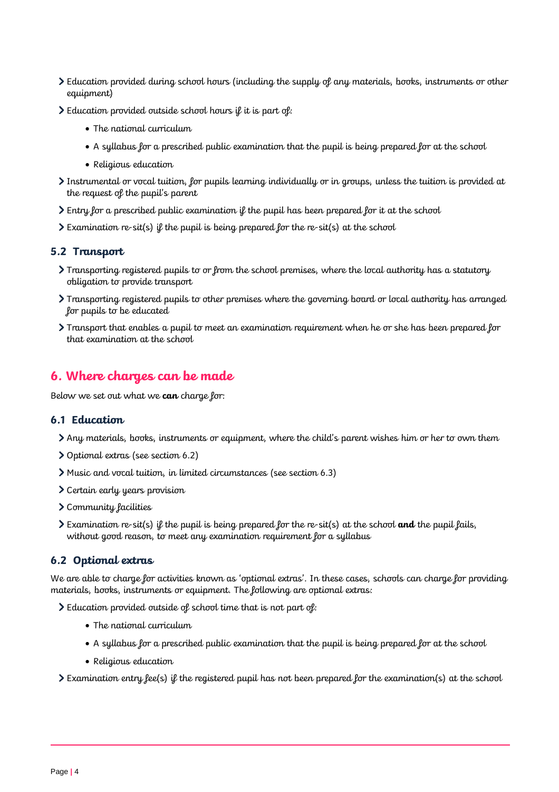- Education provided during school hours (including the supply of any materials, books, instruments or other equipment)
- Education provided outside school hours if it is part of:
	- The national curriculum
	- A syllabus for a prescribed public examination that the pupil is being prepared for at the school
	- Religious education
- Instrumental or vocal tuition, for pupils learning individually or in groups, unless the tuition is provided at the request of the pupil's parent
- $\geq$  Entry for a prescribed public examination if the pupil has been prepared for it at the school
- $\sum$  Examination re-sit(s) if the pupil is being prepared for the re-sit(s) at the school

#### **5.2 Transport**

- Transporting registered pupils to or from the school premises, where the local authority has a statutory obligation to provide transport
- Transporting registered pupils to other premises where the governing board or local authority has arranged for pupils to be educated
- Transport that enables a pupil to meet an examination requirement when he or she has been prepared for that examination at the school

## <span id="page-3-0"></span>**6. Where charges can be made**

Below we set out what we **can** charge for:

#### **6.1 Education**

- Any materials, books, instruments or equipment, where the child's parent wishes him or her to own them
- Optional extras (see section 6.2)
- Music and vocal tuition, in limited circumstances (see section 6.3)
- Certain early years provision
- Community facilities
- Examination re-sit(s) if the pupil is being prepared for the re-sit(s) at the school **and** the pupil fails, without good reason, to meet any examination requirement for a syllabus

## **6.2 Optional extras**

We are able to charge for activities known as 'optional extras'. In these cases, schools can charge for providing materials, books, instruments or equipment. The following are optional extras:

Education provided outside of school time that is not part of:

- The national curriculum
- A syllabus for a prescribed public examination that the pupil is being prepared for at the school
- Religious education

 $\triangleright$  Examination entry fee(s) if the registered pupil has not been prepared for the examination(s) at the school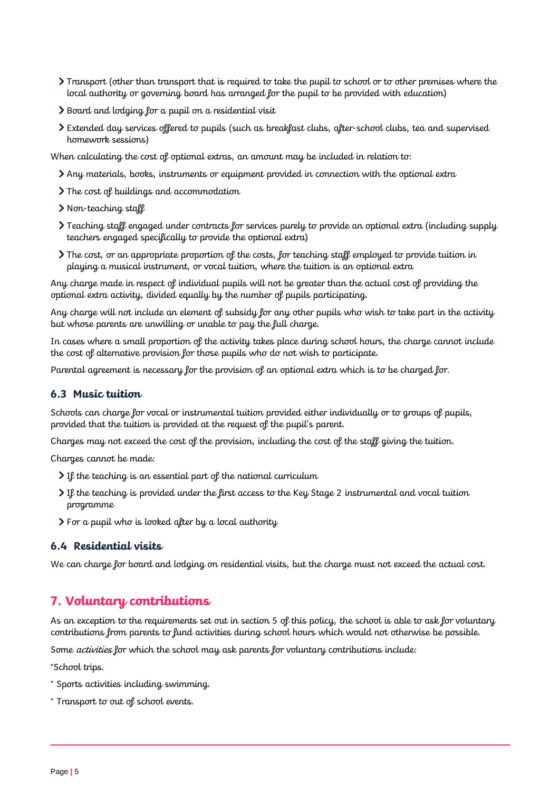- Transport (other than transport that is required to take the pupil to school or to other premises where the local authority or governing board has arranged for the pupil to be provided with education)
- Board and lodging for a pupil on a residential visit
- Extended day services offered to pupils (such as breakfast clubs, after-school clubs, tea and supervised homework sessions)

When calculating the cost of optional extras, an amount may be included in relation to:

- Any materials, books, instruments or equipment provided in connection with the optional extra
- The cost of buildings and accommodation
- > Non-teaching staff
- Teaching staff engaged under contracts for services purely to provide an optional extra (including supply teachers engaged specifically to provide the optional extra)
- The cost, or an appropriate proportion of the costs, for teaching staff employed to provide tuition in playing a musical instrument, or vocal tuition, where the tuition is an optional extra

Any charge made in respect of individual pupils will not be greater than the actual cost of providing the optional extra activity, divided equally by the number of pupils participating.

Any charge will not include an element of subsidy for any other pupils who wish to take part in the activity but whose parents are unwilling or unable to pay the full charge.

In cases where a small proportion of the activity takes place during school hours, the charge cannot include the cost of alternative provision for those pupils who do not wish to participate.

Parental agreement is necessary for the provision of an optional extra which is to be charged for.

#### **6.3 Music tuition**

Schools can charge for vocal or instrumental tuition provided either individually or to groups of pupils, provided that the tuition is provided at the request of the pupil's parent.

Charges may not exceed the cost of the provision, including the cost of the staff giving the tuition.

Charges cannot be made:

- $\sum$  If the teaching is an essential part of the national curriculum
- If the teaching is provided under the first access to the Key Stage 2 instrumental and vocal tuition programme
- For a pupil who is looked after by a local authority

#### **6.4 Residential visits**

We can charge for board and lodging on residential visits, but the charge must not exceed the actual cost.

## <span id="page-4-0"></span>**7. Voluntary contributions**

As an exception to the requirements set out in section 5 of this policy, the school is able to ask for voluntary contributions from parents to fund activities during school hours which would not otherwise be possible.

Some *activities* for which the school may ask parents for voluntary contributions include:

\*School trips.

- \* Sports activities including swimming.
- \* Transport to out of school events.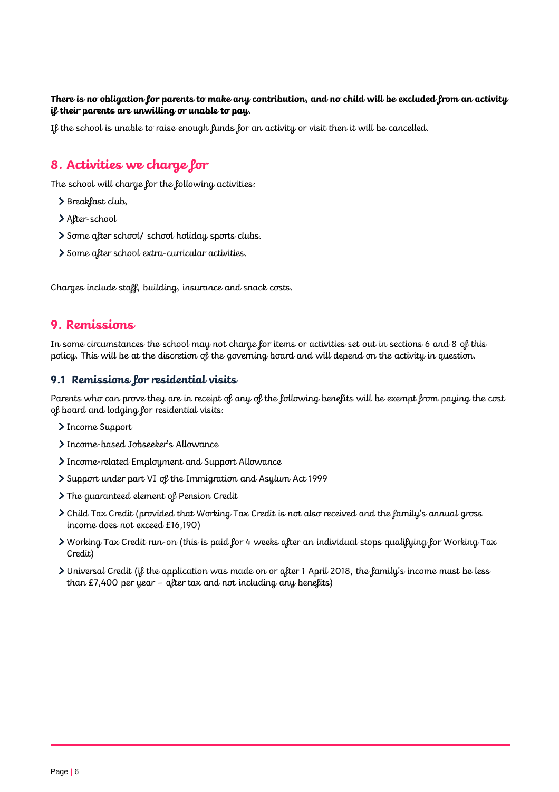#### **There is no obligation for parents to make any contribution, and no child will be excluded from an activity if their parents are unwilling or unable to pay**.

If the school is unable to raise enough funds for an activity or visit then it will be cancelled.

## <span id="page-5-0"></span>**8. Activities we charge for**

The school will charge for the following activities:

- > Breakfast club,
- > After-school
- Some after school/ school holiday sports clubs.
- Some after school extra-curricular activities.

Charges include staff, building, insurance and snack costs.

## <span id="page-5-1"></span>**9. Remissions**

In some circumstances the school may not charge for items or activities set out in sections 6 and 8 of this policy. This will be at the discretion of the governing board and will depend on the activity in question.

#### **9.1 Remissions for residential visits**

Parents who can prove they are in receipt of any of the following benefits will be exempt from paying the cost of board and lodging for residential visits:

- > Income Support
- > Income-based Jobseeker's Allowance
- Income-related Employment and Support Allowance
- Support under part VI of the Immigration and Asylum Act 1999
- The guaranteed element of Pension Credit
- Child Tax Credit (provided that Working Tax Credit is not also received and the family's annual gross income does not exceed £16,190)
- Working Tax Credit run-on (this is paid for 4 weeks after an individual stops qualifying for Working Tax Credit)
- Universal Credit (if the application was made on or after 1 April 2018, the family's income must be less than £7,400 per year – after tax and not including any benefits)